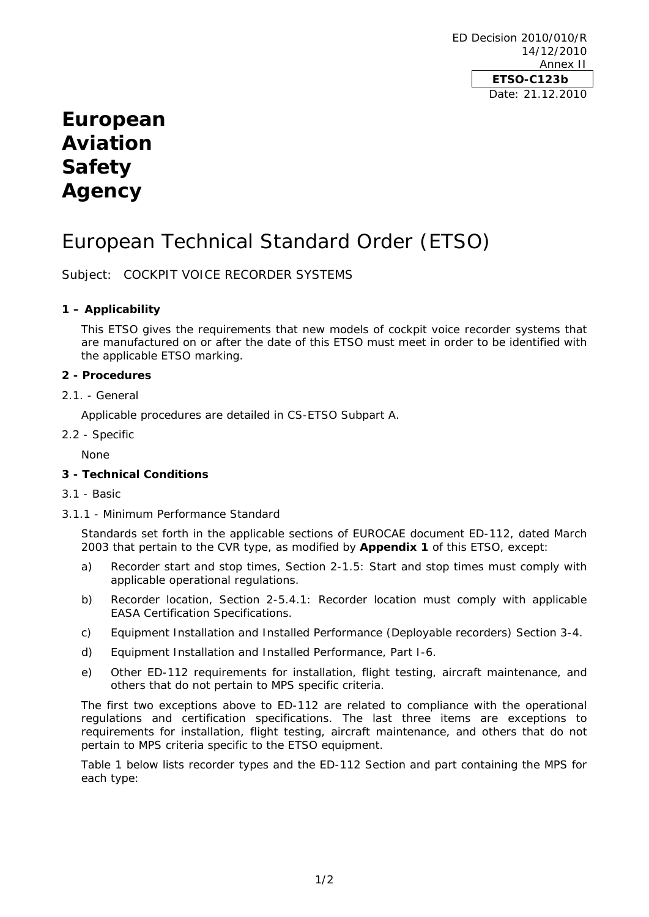ED Decision 2010/010/R 14/12/2010 Annex II **ETSO-C123b**  Date: 21.12.2010

## **European Aviation Safety Agency**

# European Technical Standard Order (ETSO)

Subject: COCKPIT VOICE RECORDER SYSTEMS

## **1 – Applicability**

This ETSO gives the requirements that new models of cockpit voice recorder systems that are manufactured on or after the date of this ETSO must meet in order to be identified with the applicable ETSO marking.

## **2 - Procedures**

2.1. - General

Applicable procedures are detailed in CS-ETSO Subpart A.

2.2 - Specific

None

## **3 - Technical Conditions**

- 3.1 Basic
- 3.1.1 Minimum Performance Standard

Standards set forth in the applicable sections of EUROCAE document ED-112, dated March 2003 that pertain to the CVR type, as modified by **Appendix 1** of this ETSO, except:

- a) *Recorder start and stop times, Section 2-1.5:* Start and stop times must comply with applicable operational regulations.
- *b) Recorder location, Section 2-5.4.1*: Recorder location must comply with applicable EASA Certification Specifications.
- *c) Equipment Installation and Installed Performance (Deployable recorders) Section 3-4.*
- *d) Equipment Installation and Installed Performance, Part I-6.*
- *e) Other ED-112 requirements for installation, flight testing, aircraft maintenance, and others that do not pertain to MPS specific criteria.*

The first two exceptions above to ED-112 are related to compliance with the operational regulations and certification specifications. The last three items are exceptions to requirements for installation, flight testing, aircraft maintenance, and others that do not pertain to MPS criteria specific to the ETSO equipment.

Table 1 below lists recorder types and the ED-112 Section and part containing the MPS for each type: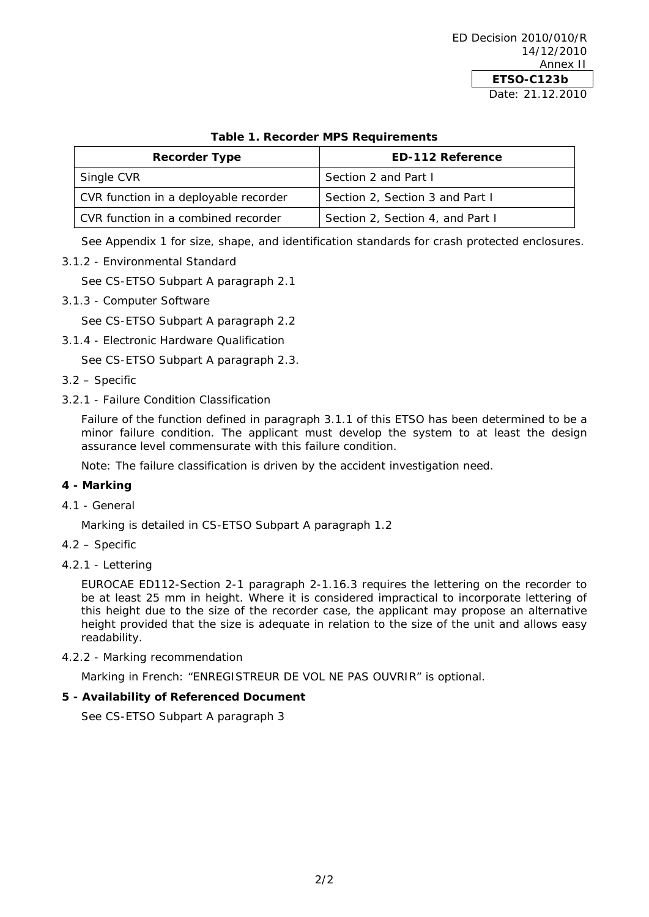## **Table 1. Recorder MPS Requirements**

| <b>Recorder Type</b>                  | <b>ED-112 Reference</b>          |
|---------------------------------------|----------------------------------|
| Single CVR                            | Section 2 and Part I             |
| CVR function in a deployable recorder | Section 2, Section 3 and Part I  |
| CVR function in a combined recorder   | Section 2, Section 4, and Part I |

See Appendix 1 for size, shape, and identification standards for crash protected enclosures.

3.1.2 - Environmental Standard

See CS-ETSO Subpart A paragraph 2.1

3.1.3 - Computer Software

See CS-ETSO Subpart A paragraph 2.2

3.1.4 - Electronic Hardware Qualification

See CS-ETSO Subpart A paragraph 2.3.

- 3.2 Specific
- 3.2.1 Failure Condition Classification

Failure of the function defined in paragraph 3.1.1 of this ETSO has been determined to be a minor failure condition. The applicant must develop the system to at least the design assurance level commensurate with this failure condition.

Note: The failure classification is driven by the accident investigation need.

#### **4 - Marking**

4.1 - General

Marking is detailed in CS-ETSO Subpart A paragraph 1.2

- 4.2 Specific
- 4.2.1 Lettering

EUROCAE ED112-Section 2-1 paragraph 2-1.16.3 requires the lettering on the recorder to be at least 25 mm in height. Where it is considered impractical to incorporate lettering of this height due to the size of the recorder case, the applicant may propose an alternative height provided that the size is adequate in relation to the size of the unit and allows easy readability.

4.2.2 - Marking recommendation

Marking in French: "ENREGISTREUR DE VOL NE PAS OUVRIR" is optional.

#### **5 - Availability of Referenced Document**

See CS-ETSO Subpart A paragraph 3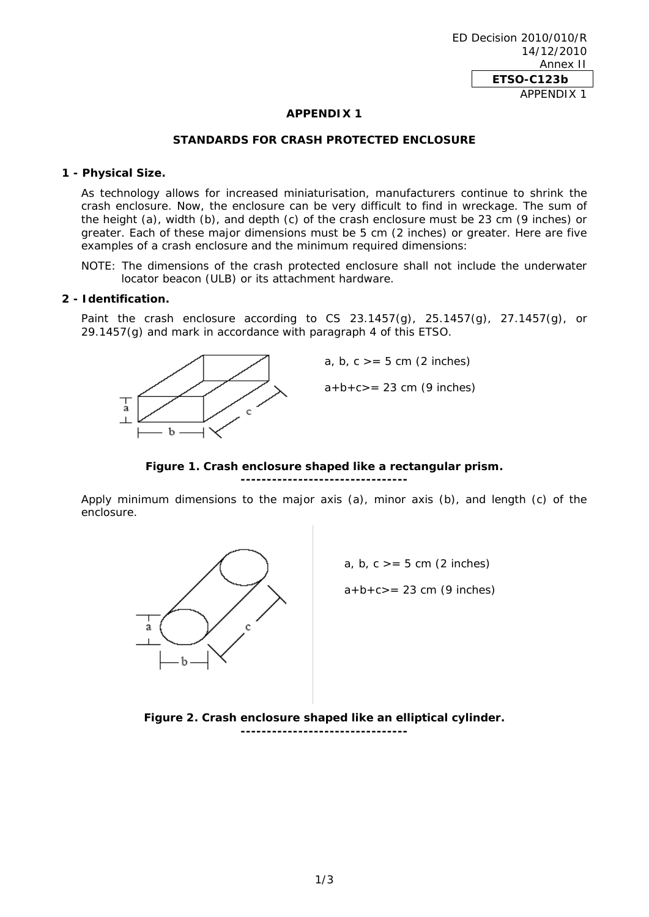#### **APPENDIX 1**

#### **STANDARDS FOR CRASH PROTECTED ENCLOSURE**

#### **1 - Physical Size.**

As technology allows for increased miniaturisation, manufacturers continue to shrink the crash enclosure. Now, the enclosure can be very difficult to find in wreckage. The sum of the height (a), width (b), and depth (c) of the crash enclosure must be 23 cm (9 inches) or greater. Each of these major dimensions must be 5 cm (2 inches) or greater. Here are five examples of a crash enclosure and the minimum required dimensions:

NOTE: The dimensions of the crash protected enclosure shall not include the underwater locator beacon (ULB) or its attachment hardware.

#### **2 - Identification.**

Paint the crash enclosure according to CS 23.1457 $(q)$ , 25.1457 $(q)$ , 27.1457 $(q)$ , or 29.1457(g) and mark in accordance with paragraph 4 of this ETSO.



**Figure 1. Crash enclosure shaped like a rectangular prism.**

**--------------------------------**

Apply minimum dimensions to the major axis (a), minor axis (b), and length (c) of the enclosure.



**Figure 2. Crash enclosure shaped like an elliptical cylinder. --------------------------------**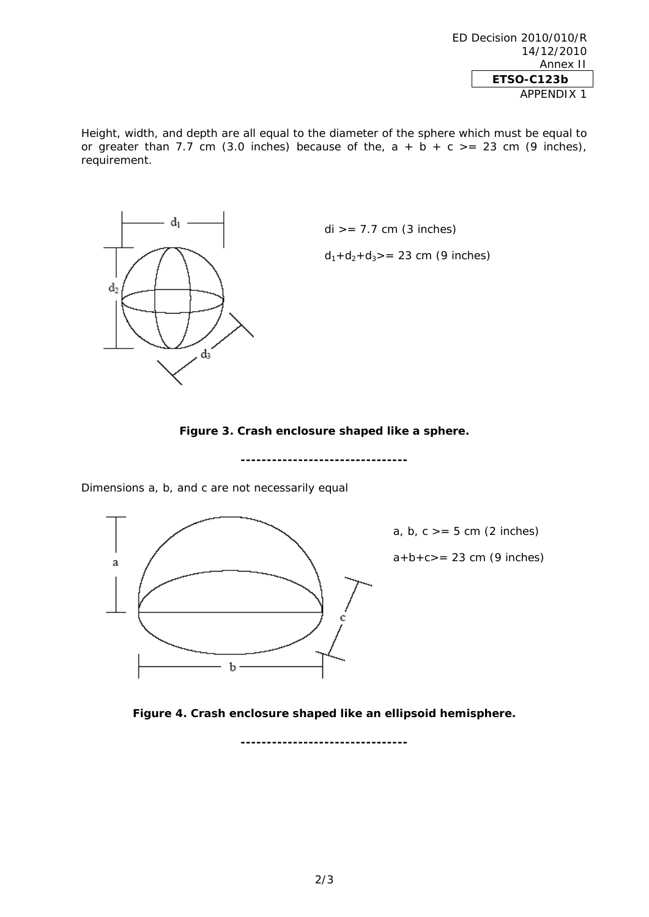ED Decision 2010/010/R 14/12/2010 Annex II **ETSO-C123b**  APPENDIX 1

Height, width, and depth are all equal to the diameter of the sphere which must be equal to or greater than 7.7 cm (3.0 inches) because of the,  $a + b + c$  >= 23 cm (9 inches), requirement.



**Figure 3. Crash enclosure shaped like a sphere.** 

**--------------------------------** 

Dimensions a, b, and c are not necessarily equal



a, b,  $c \geq 5$  cm (2 inches)

 $a + b + c = 23$  cm (9 inches)

**Figure 4. Crash enclosure shaped like an ellipsoid hemisphere.** 

**--------------------------------** 

2/3